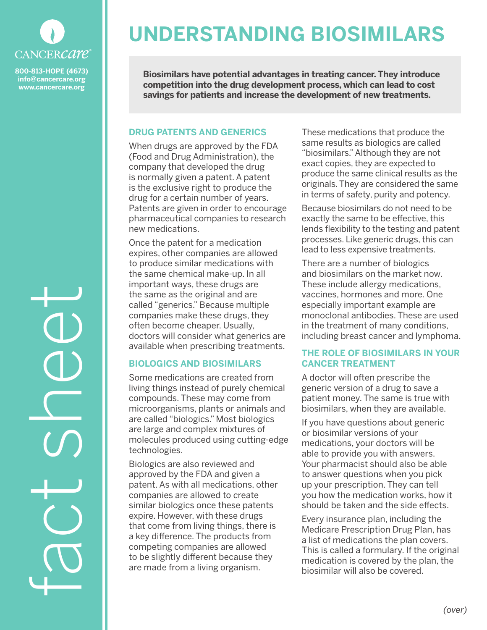

**800-813-HOPE (4673) info@cancercare.org www.cancercare.org**

# **UNDERSTANDING BIOSIMILARS**

**Biosimilars have potential advantages in treating cancer. They introduce competition into the drug development process, which can lead to cost savings for patients and increase the development of new treatments.**

#### **DRUG PATENTS AND GENERICS**

When drugs are approved by the FDA (Food and Drug Administration), the company that developed the drug is normally given a patent. A patent is the exclusive right to produce the drug for a certain number of years. Patents are given in order to encourage pharmaceutical companies to research new medications.

Once the patent for a medication expires, other companies are allowed to produce similar medications with the same chemical make-up. In all important ways, these drugs are the same as the original and are called "generics." Because multiple companies make these drugs, they often become cheaper. Usually, doctors will consider what generics are available when prescribing treatments.

## **BIOLOGICS AND BIOSIMILARS**

Some medications are created from living things instead of purely chemical compounds. These may come from microorganisms, plants or animals and are called "biologics." Most biologics are large and complex mixtures of molecules produced using cutting-edge technologies.

Biologics are also reviewed and approved by the FDA and given a patent. As with all medications, other companies are allowed to create similar biologics once these patents expire. However, with these drugs that come from living things, there is a key difference. The products from competing companies are allowed to be slightly different because they are made from a living organism.

These medications that produce the same results as biologics are called "biosimilars." Although they are not exact copies, they are expected to produce the same clinical results as the originals. They are considered the same in terms of safety, purity and potency.

Because biosimilars do not need to be exactly the same to be effective, this lends flexibility to the testing and patent processes. Like generic drugs, this can lead to less expensive treatments.

There are a number of biologics and biosimilars on the market now. These include allergy medications, vaccines, hormones and more. One especially important example are monoclonal antibodies. These are used in the treatment of many conditions, including breast cancer and lymphoma.

## **THE ROLE OF BIOSIMILARS IN YOUR CANCER TREATMENT**

A doctor will often prescribe the generic version of a drug to save a patient money. The same is true with biosimilars, when they are available.

If you have questions about generic or biosimilar versions of your medications, your doctors will be able to provide you with answers. Your pharmacist should also be able to answer questions when you pick up your prescription. They can tell you how the medication works, how it should be taken and the side effects.

Every insurance plan, including the Medicare Prescription Drug Plan, has a list of medications the plan covers. This is called a formulary. If the original medication is covered by the plan, the biosimilar will also be covered.

fact sheet